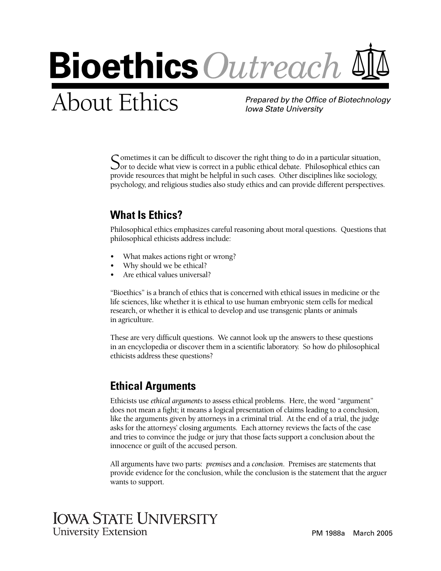

# About Ethics *Prepared by the Office of Biotechnology*

*Iowa State University*

Cometimes it can be difficult to discover the right thing to do in a particular situation,  $\Delta$  or to decide what view is correct in a public ethical debate. Philosophical ethics can provide resources that might be helpful in such cases. Other disciplines like sociology, psychology, and religious studies also study ethics and can provide different perspectives.

## **What Is Ethics?**

Philosophical ethics emphasizes careful reasoning about moral questions. Questions that philosophical ethicists address include:

- What makes actions right or wrong?
- Why should we be ethical?
- Are ethical values universal?

"Bioethics" is a branch of ethics that is concerned with ethical issues in medicine or the life sciences, like whether it is ethical to use human embryonic stem cells for medical research, or whether it is ethical to develop and use transgenic plants or animals in agriculture.

These are very difficult questions. We cannot look up the answers to these questions in an encyclopedia or discover them in a scientific laboratory. So how do philosophical ethicists address these questions?

### **Ethical Arguments**

Ethicists use *ethical arguments* to assess ethical problems. Here, the word "argument" does not mean a fight; it means a logical presentation of claims leading to a conclusion, like the arguments given by attorneys in a criminal trial. At the end of a trial, the judge asks for the attorneys' closing arguments. Each attorney reviews the facts of the case and tries to convince the judge or jury that those facts support a conclusion about the innocence or guilt of the accused person.

All arguments have two parts: *premises* and a *conclusion*. Premises are statements that provide evidence for the conclusion, while the conclusion is the statement that the arguer wants to support.

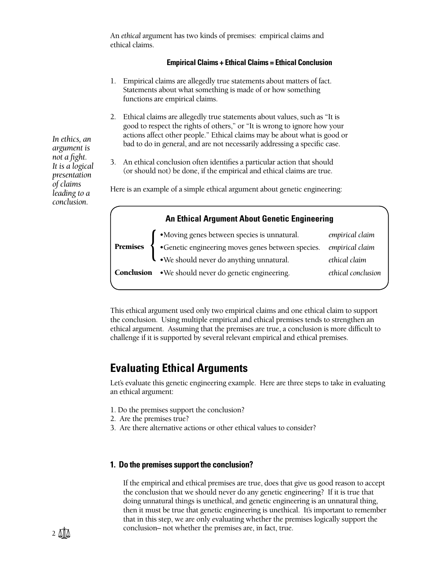An *ethical* argument has two kinds of premises: empirical claims and ethical claims.

### **Empirical Claims + Ethical Claims = Ethical Conclusion**

- 1. Empirical claims are allegedly true statements about matters of fact. Statements about what something is made of or how something functions are empirical claims.
- 2. Ethical claims are allegedly true statements about values, such as "It is good to respect the rights of others," or "It is wrong to ignore how your actions affect other people." Ethical claims may be about what is good or bad to do in general, and are not necessarily addressing a specific case.
- 3. An ethical conclusion often identifies a particular action that should (or should not) be done, if the empirical and ethical claims are true.

Here is an example of a simple ethical argument about genetic engineering:

| <b>An Ethical Argument About Genetic Engineering</b> |                                                                                                                                                                            |                    |
|------------------------------------------------------|----------------------------------------------------------------------------------------------------------------------------------------------------------------------------|--------------------|
|                                                      |                                                                                                                                                                            | empirical claim    |
|                                                      | <b>Premises</b><br><b>C</b> • Moving genes between species is unnatural.<br>• Genetic engineering moves genes between species.<br>• We should never do anything unnatural. | empirical claim    |
|                                                      |                                                                                                                                                                            | ethical claim      |
|                                                      | <b>Conclusion</b> • We should never do genetic engineering.                                                                                                                | ethical conclusion |
|                                                      |                                                                                                                                                                            |                    |

This ethical argument used only two empirical claims and one ethical claim to support the conclusion. Using multiple empirical and ethical premises tends to strengthen an ethical argument. Assuming that the premises are true, a conclusion is more difficult to challenge if it is supported by several relevant empirical and ethical premises.

### **Evaluating Ethical Arguments**

Let's evaluate this genetic engineering example. Here are three steps to take in evaluating an ethical argument:

- 1. Do the premises support the conclusion?
- 2. Are the premises true?
- 3. Are there alternative actions or other ethical values to consider?

### **1. Do the premises support the conclusion?**

If the empirical and ethical premises are true, does that give us good reason to accept the conclusion that we should never do any genetic engineering? If it is true that doing unnatural things is unethical, and genetic engineering is an unnatural thing, then it must be true that genetic engineering is unethical. It's important to remember that in this step, we are only evaluating whether the premises logically support the conclusion– not whether the premises are, in fact, true.

*In ethics, an argument is not a fight. It is a logical presentation of claims leading to a conclusion.*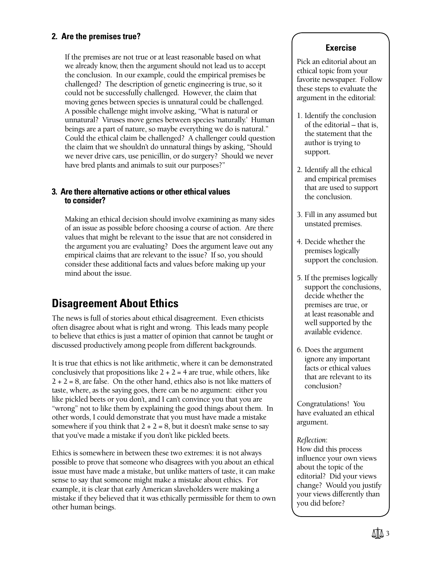### **2. Are the premises true?**

If the premises are not true or at least reasonable based on what we already know, then the argument should not lead us to accept the conclusion. In our example, could the empirical premises be challenged? The description of genetic engineering is true, so it could not be successfully challenged. However, the claim that moving genes between species is unnatural could be challenged. A possible challenge might involve asking, "What is natural or unnatural? Viruses move genes between species 'naturally.' Human beings are a part of nature, so maybe everything we do is natural." Could the ethical claim be challenged? A challenger could question the claim that we shouldn't do unnatural things by asking, "Should we never drive cars, use penicillin, or do surgery? Should we never have bred plants and animals to suit our purposes?"

### **3. Are there alternative actions or other ethical values to consider?**

Making an ethical decision should involve examining as many sides of an issue as possible before choosing a course of action. Are there values that might be relevant to the issue that are not considered in the argument you are evaluating? Does the argument leave out any empirical claims that are relevant to the issue? If so, you should consider these additional facts and values before making up your mind about the issue.

### **Disagreement About Ethics**

The news is full of stories about ethical disagreement. Even ethicists often disagree about what is right and wrong. This leads many people to believe that ethics is just a matter of opinion that cannot be taught or discussed productively among people from different backgrounds.

It is true that ethics is not like arithmetic, where it can be demonstrated conclusively that propositions like  $2 + 2 = 4$  are true, while others, like  $2 + 2 = 8$ , are false. On the other hand, ethics also is not like matters of taste, where, as the saying goes, there can be no argument: either you like pickled beets or you don't, and I can't convince you that you are "wrong" not to like them by explaining the good things about them. In other words, I could demonstrate that you must have made a mistake somewhere if you think that  $2 + 2 = 8$ , but it doesn't make sense to say that you've made a mistake if you don't like pickled beets.

Ethics is somewhere in between these two extremes: it is not always possible to prove that someone who disagrees with you about an ethical issue must have made a mistake, but unlike matters of taste, it can make sense to say that someone might make a mistake about ethics. For example, it is clear that early American slaveholders were making a mistake if they believed that it was ethically permissible for them to own other human beings.

### **Exercise**

Pick an editorial about an ethical topic from your favorite newspaper. Follow these steps to evaluate the argument in the editorial:

- 1. Identify the conclusion of the editorial – that is, the statement that the author is trying to support.
- 2. Identify all the ethical and empirical premises that are used to support the conclusion.
- 3. Fill in any assumed but unstated premises.
- 4. Decide whether the premises logically support the conclusion.
- 5. If the premises logically support the conclusions, decide whether the premises are true, or at least reasonable and well supported by the available evidence.
- 6. Does the argument ignore any important facts or ethical values that are relevant to its conclusion?

Congratulations! You have evaluated an ethical argument.

### *Refl ection*:

How did this process influence your own views about the topic of the editorial? Did your views change? Would you justify your views differently than you did before?